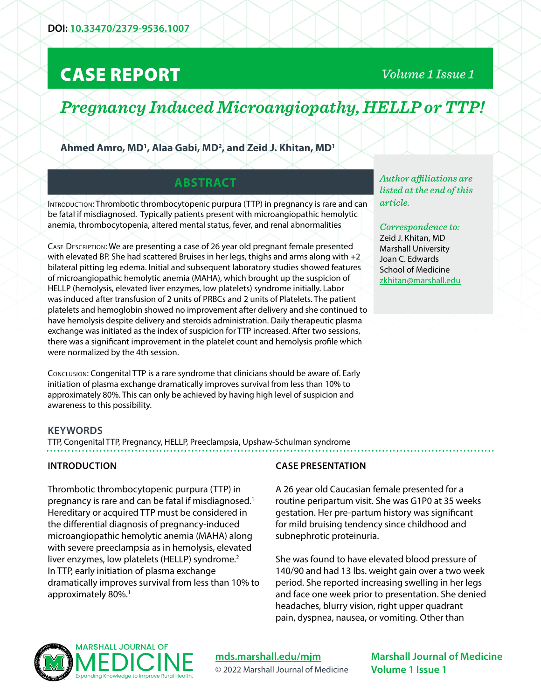# CASE REPORT

*Volume 1 Issue 1*

# *Pregnancy Induced Microangiopathy, HELLP or TTP!*

**Ahmed Amro, MD1 , Alaa Gabi, MD2 , and Zeid J. Khitan, MD1**

## **ABSTRACT**

INTRODUCTION: Thrombotic thrombocytopenic purpura (TTP) in pregnancy is rare and can be fatal if misdiagnosed. Typically patients present with microangiopathic hemolytic anemia, thrombocytopenia, altered mental status, fever, and renal abnormalities

Case Description: We are presenting a case of 26 year old pregnant female presented with elevated BP. She had scattered Bruises in her legs, thighs and arms along with +2 bilateral pitting leg edema. Initial and subsequent laboratory studies showed features of microangiopathic hemolytic anemia (MAHA), which brought up the suspicion of HELLP (hemolysis, elevated liver enzymes, low platelets) syndrome initially. Labor was induced after transfusion of 2 units of PRBCs and 2 units of Platelets. The patient platelets and hemoglobin showed no improvement after delivery and she continued to have hemolysis despite delivery and steroids administration. Daily therapeutic plasma exchange was initiated as the index of suspicion for TTP increased. After two sessions, there was a significant improvement in the platelet count and hemolysis profile which were normalized by the 4th session.

Conclusion: Congenital TTP is a rare syndrome that clinicians should be aware of. Early initiation of plasma exchange dramatically improves survival from less than 10% to approximately 80%. This can only be achieved by having high level of suspicion and awareness to this possibility.

*Author affiliations are listed at the end of this article.* 

*Correspondence to:*  Zeid J. Khitan, MD Marshall University Joan C. Edwards School of Medicine [zkhitan@marshall.edu](mailto:zkhitan%40marshall.edu?subject=)

#### **KEYWORDS**

TTP, Congenital TTP, Pregnancy, HELLP, Preeclampsia, Upshaw-Schulman syndrome

#### **INTRODUCTION**

Thrombotic thrombocytopenic purpura (TTP) in pregnancy is rare and can be fatal if misdiagnosed.1 Hereditary or acquired TTP must be considered in the differential diagnosis of pregnancy-induced microangiopathic hemolytic anemia (MAHA) along with severe preeclampsia as in hemolysis, elevated liver enzymes, low platelets (HELLP) syndrome.<sup>2</sup> In TTP, early initiation of plasma exchange dramatically improves survival from less than 10% to approximately 80%.<sup>1</sup>

#### **CASE PRESENTATION**

A 26 year old Caucasian female presented for a routine peripartum visit. She was G1P0 at 35 weeks gestation. Her pre-partum history was significant for mild bruising tendency since childhood and subnephrotic proteinuria.

She was found to have elevated blood pressure of 140/90 and had 13 lbs. weight gain over a two week period. She reported increasing swelling in her legs and face one week prior to presentation. She denied headaches, blurry vision, right upper quadrant pain, dyspnea, nausea, or vomiting. Other than



**[mds.marshall.edu/mjm](https://mds.marshall.edu/mjm/)** © 2022 Marshall Journal of Medicine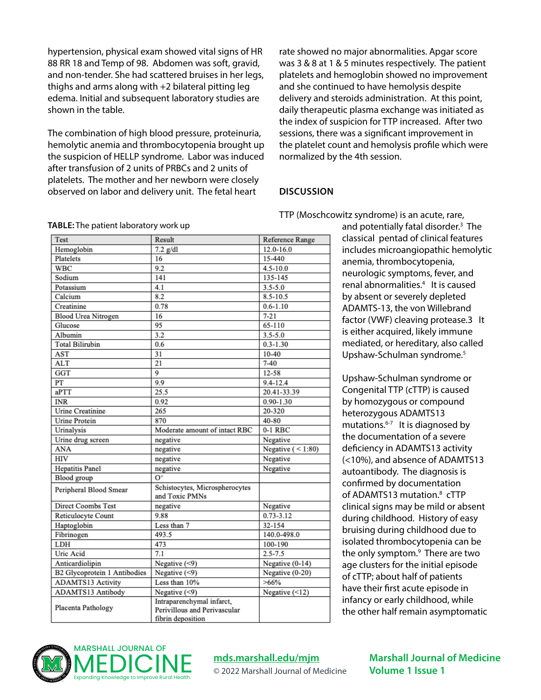hypertension, physical exam showed vital signs of HR 88 RR 18 and Temp of 98. Abdomen was soft, gravid, and non-tender. She had scattered bruises in her legs, thighs and arms along with +2 bilateral pitting leg edema. Initial and subsequent laboratory studies are shown in the table.

The combination of high blood pressure, proteinuria, hemolytic anemia and thrombocytopenia brought up the suspicion of HELLP syndrome. Labor was induced after transfusion of 2 units of PRBCs and 2 units of platelets. The mother and her newborn were closely observed on labor and delivery unit. The fetal heart

rate showed no major abnormalities. Apgar score was 3 & 8 at 1 & 5 minutes respectively. The patient platelets and hemoglobin showed no improvement and she continued to have hemolysis despite delivery and steroids administration. At this point, daily therapeutic plasma exchange was initiated as the index of suspicion for TTP increased. After two sessions, there was a significant improvement in the platelet count and hemolysis profile which were normalized by the 4th session.

#### **DISCUSSION**

TTP (Moschcowitz syndrome) is an acute, rare,

| TABLE: The patient laboratory work up |  |  |
|---------------------------------------|--|--|
|---------------------------------------|--|--|

| Test                         | Result                                                                         | Reference Range      |
|------------------------------|--------------------------------------------------------------------------------|----------------------|
| Hemoglobin                   | $7.2$ g/dl                                                                     | 12.0-16.0            |
| Platelets                    | 16                                                                             | 15-440               |
| <b>WBC</b>                   | 9.2                                                                            | $4.5 - 10.0$         |
| Sodium                       | 141                                                                            | 135-145              |
| Potassium                    | 4.1                                                                            | $3.5 - 5.0$          |
| Calcium                      | 8.2                                                                            | 8.5-10.5             |
| Creatinine                   | 0.78                                                                           | $0.6 - 1.10$         |
| <b>Blood Urea Nitrogen</b>   | 16                                                                             | $7 - 21$             |
| Glucose                      | 95                                                                             | 65-110               |
| Albumin                      | 3.2                                                                            | $3.5 - 5.0$          |
| <b>Total Bilirubin</b>       | 0.6                                                                            | $0.3 - 1.30$         |
| AST                          | 31                                                                             | $10 - 40$            |
| <b>ALT</b>                   | 21                                                                             | $7 - 40$             |
| GGT                          | 9                                                                              | $12 - 58$            |
| PT                           | 9.9                                                                            | $9.4 - 12.4$         |
| aPTT                         | 25.5                                                                           | 20.41-33.39          |
| <b>INR</b>                   | 0.92                                                                           | $0.90 - 1.30$        |
| <b>Urine Creatinine</b>      | 265                                                                            | 20-320               |
| <b>Urine Protein</b>         | 870                                                                            | 40-80                |
| Urinalysis                   | Moderate amount of intact RBC                                                  | $0-1$ RBC            |
| Urine drug screen            | negative                                                                       | Negative             |
| ANA                          | negative                                                                       | Negative $(< 1:80)$  |
| HIV                          | negative                                                                       | Negative             |
| <b>Hepatitis Panel</b>       | negative                                                                       | Negative             |
| Blood group                  | $\Omega^+$                                                                     |                      |
| Peripheral Blood Smear       | Schistocytes, Microspherocytes<br>and Toxic PMNs                               |                      |
| <b>Direct Coombs Test</b>    | negative                                                                       | Negative             |
| Reticulocyte Count           | 9.88                                                                           | $0.73 - 3.12$        |
| Haptoglobin                  | Less than 7                                                                    | 32-154               |
| Fibrinogen                   | 493.5                                                                          | 140.0-498.0          |
| LDH                          | 473                                                                            | 100-190              |
| Uric Acid                    | 7.1                                                                            | $2.5 - 7.5$          |
| Anticardiolipin              | Negative (<9)                                                                  | Negative (0-14)      |
| B2 Glycoprotein 1 Antibodies | Negative $($ <9)                                                               | Negative (0-20)      |
| ADAMTS13 Activity            | Less than 10%                                                                  | $>66\%$              |
| ADAMTS13 Antibody            | Negative (<9)                                                                  | Negative $($ <12 $)$ |
| Placenta Pathology           | Intraparenchymal infarct,<br>Perivillous and Perivascular<br>fibrin denosition |                      |

and potentially fatal disorder.<sup>3</sup> The classical pentad of clinical features includes microangiopathic hemolytic anemia, thrombocytopenia, neurologic symptoms, fever, and renal abnormalities.4 It is caused by absent or severely depleted ADAMTS-13, the von Willebrand factor (VWF) cleaving protease.3 It is either acquired, likely immune mediated, or hereditary, also called Upshaw-Schulman syndrome.<sup>5</sup>

Upshaw-Schulman syndrome or Congenital TTP (cTTP) is caused by homozygous or compound heterozygous ADAMTS13 mutations. $6-7$  It is diagnosed by the documentation of a severe deficiency in ADAMTS13 activity (<10%), and absence of ADAMTS13 autoantibody. The diagnosis is confirmed by documentation of ADAMTS13 mutation.<sup>8</sup> cTTP clinical signs may be mild or absent during childhood. History of easy bruising during childhood due to isolated thrombocytopenia can be the only symptom.<sup>9</sup> There are two age clusters for the initial episode of cTTP; about half of patients have their first acute episode in infancy or early childhood, while the other half remain asymptomatic



#### **[mds.marshall.edu/mjm](https://mds.marshall.edu/mjm/)**

© 2022 Marshall Journal of Medicine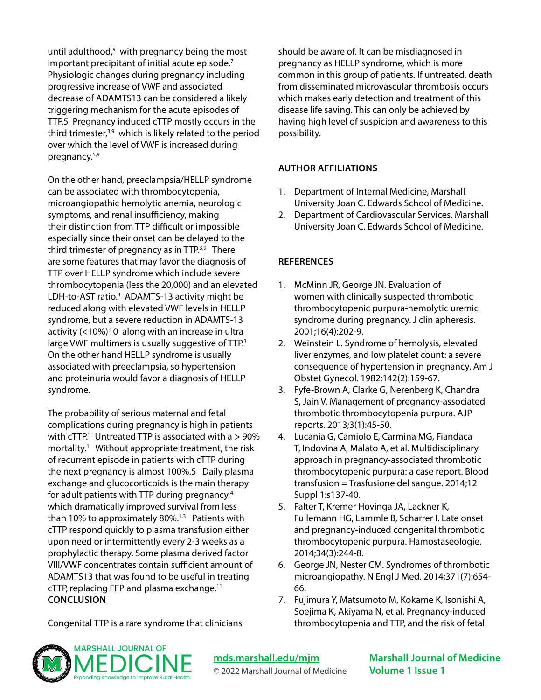until adulthood,<sup>9</sup> with pregnancy being the most important precipitant of initial acute episode. $7$ Physiologic changes during pregnancy including progressive increase of VWF and associated decrease of ADAMTS13 can be considered a likely triggering mechanism for the acute episodes of TTP.5 Pregnancy induced cTTP mostly occurs in the third trimester,3,9 which is likely related to the period over which the level of VWF is increased during pregnancy.5,9

On the other hand, preeclampsia/HELLP syndrome can be associated with thrombocytopenia, microangiopathic hemolytic anemia, neurologic symptoms, and renal insufficiency, making their distinction from TTP difficult or impossible especially since their onset can be delayed to the third trimester of pregnancy as in TTP.<sup>3,9</sup> There are some features that may favor the diagnosis of TTP over HELLP syndrome which include severe thrombocytopenia (less the 20,000) and an elevated LDH-to-AST ratio.<sup>3</sup> ADAMTS-13 activity might be reduced along with elevated VWF levels in HELLP syndrome, but a severe reduction in ADAMTS-13 activity (<10%)10 along with an increase in ultra large VWF multimers is usually suggestive of TTP.<sup>3</sup> On the other hand HELLP syndrome is usually associated with preeclampsia, so hypertension and proteinuria would favor a diagnosis of HELLP syndrome.

The probability of serious maternal and fetal complications during pregnancy is high in patients with  $cTTP$ <sup>5</sup> Untreated TTP is associated with a  $> 90\%$ mortality.<sup>1</sup> Without appropriate treatment, the risk of recurrent episode in patients with cTTP during the next pregnancy is almost 100%.5 Daily plasma exchange and glucocorticoids is the main therapy for adult patients with TTP during pregnancy,<sup>4</sup> which dramatically improved survival from less than 10% to approximately 80%. $1,3$  Patients with cTTP respond quickly to plasma transfusion either upon need or intermittently every 2-3 weeks as a prophylactic therapy. Some plasma derived factor VIII/VWF concentrates contain sufficient amount of ADAMTS13 that was found to be useful in treating cTTP, replacing FFP and plasma exchange.<sup>11</sup> **CONCLUSION**

should be aware of. It can be misdiagnosed in pregnancy as HELLP syndrome, which is more common in this group of patients. If untreated, death from disseminated microvascular thrombosis occurs which makes early detection and treatment of this disease life saving. This can only be achieved by having high level of suspicion and awareness to this possibility.

#### **AUTHOR AFFILIATIONS**

- 1. Department of Internal Medicine, Marshall University Joan C. Edwards School of Medicine.
- 2. Department of Cardiovascular Services, Marshall University Joan C. Edwards School of Medicine.

### **REFERENCES**

- 1. McMinn JR, George JN. Evaluation of women with clinically suspected thrombotic thrombocytopenic purpura-hemolytic uremic syndrome during pregnancy. J clin apheresis. 2001;16(4):202-9.
- 2. Weinstein L. Syndrome of hemolysis, elevated liver enzymes, and low platelet count: a severe consequence of hypertension in pregnancy. Am J Obstet Gynecol. 1982;142(2):159-67.
- 3. Fyfe-Brown A, Clarke G, Nerenberg K, Chandra S, Jain V. Management of pregnancy-associated thrombotic thrombocytopenia purpura. AJP reports. 2013;3(1):45-50.
- 4. Lucania G, Camiolo E, Carmina MG, Fiandaca T, Indovina A, Malato A, et al. Multidisciplinary approach in pregnancy-associated thrombotic thrombocytopenic purpura: a case report. Blood transfusion = Trasfusione del sangue. 2014;12 Suppl 1:s137-40.
- 5. Falter T, Kremer Hovinga JA, Lackner K, Fullemann HG, Lammle B, Scharrer I. Late onset and pregnancy-induced congenital thrombotic thrombocytopenic purpura. Hamostaseologie. 2014;34(3):244-8.
- 6. George JN, Nester CM. Syndromes of thrombotic microangiopathy. N Engl J Med. 2014;371(7):654- 66.
- 7. Fujimura Y, Matsumoto M, Kokame K, Isonishi A, Soejima K, Akiyama N, et al. Pregnancy-induced thrombocytopenia and TTP, and the risk of fetal

Congenital TTP is a rare syndrome that clinicians



**[mds.marshall.edu/mjm](https://mds.marshall.edu/mjm/)** © 2022 Marshall Journal of Medicine